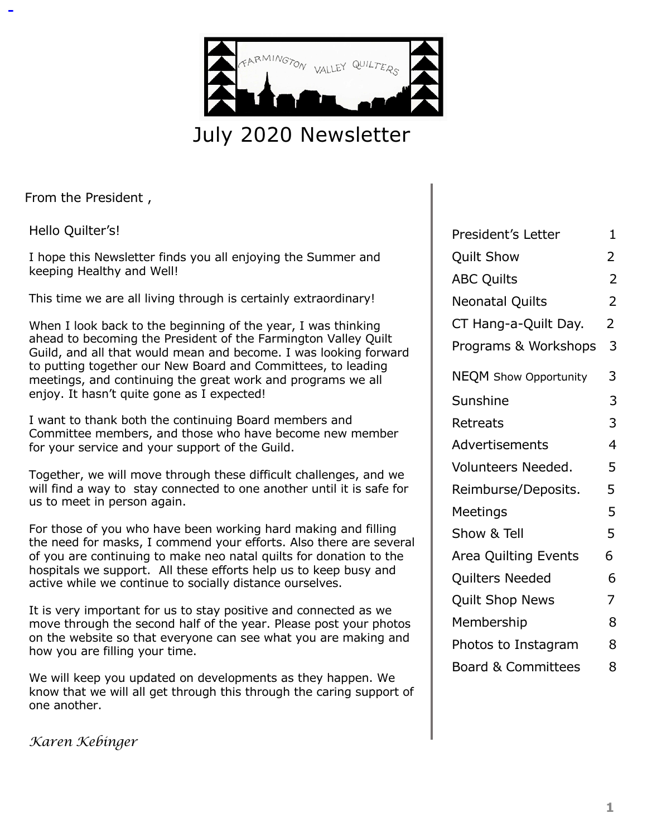

# July 2020 Newsletter

From the President ,

Hello Quilter's!

I hope this Newsletter finds you all enjoying the Summer and keeping Healthy and Well!

This time we are all living through is certainly extraordinary!

When I look back to the beginning of the year, I was thinking ahead to becoming the President of the Farmington Valley Quilt Guild, and all that would mean and become. I was looking forward to putting together our New Board and Committees, to leading meetings, and continuing the great work and programs we all enjoy. It hasn't quite gone as I expected!

I want to thank both the continuing Board members and Committee members, and those who have become new member for your service and your support of the Guild.

Together, we will move through these difficult challenges, and we will find a way to stay connected to one another until it is safe for us to meet in person again.

For those of you who have been working hard making and filling the need for masks, I commend your efforts. Also there are several of you are continuing to make neo natal quilts for donation to the hospitals we support. All these efforts help us to keep busy and active while we continue to socially distance ourselves.

It is very important for us to stay positive and connected as we move through the second half of the year. Please post your photos on the website so that everyone can see what you are making and how you are filling your time.

We will keep you updated on developments as they happen. We know that we will all get through this through the caring support of one another.

*Karen Kebinger*

| President's Letter            | 1              |
|-------------------------------|----------------|
| <b>Quilt Show</b>             | 2              |
| <b>ABC Quilts</b>             | $\overline{2}$ |
| <b>Neonatal Quilts</b>        | $\overline{2}$ |
| CT Hang-a-Quilt Day.          | $\overline{2}$ |
| Programs & Workshops          | 3              |
| <b>NEQM</b> Show Opportunity  | 3              |
| Sunshine                      | 3              |
| Retreats                      | 3              |
| Advertisements                | 4              |
| Volunteers Needed.            | 5              |
| Reimburse/Deposits.           | 5              |
| Meetings                      | 5              |
| Show & Tell                   | 5              |
| Area Quilting Events          | 6              |
| Quilters Needed               | 6              |
| <b>Quilt Shop News</b>        | 7              |
| Membership                    | 8              |
| Photos to Instagram           | 8              |
| <b>Board &amp; Committees</b> | 8              |
|                               |                |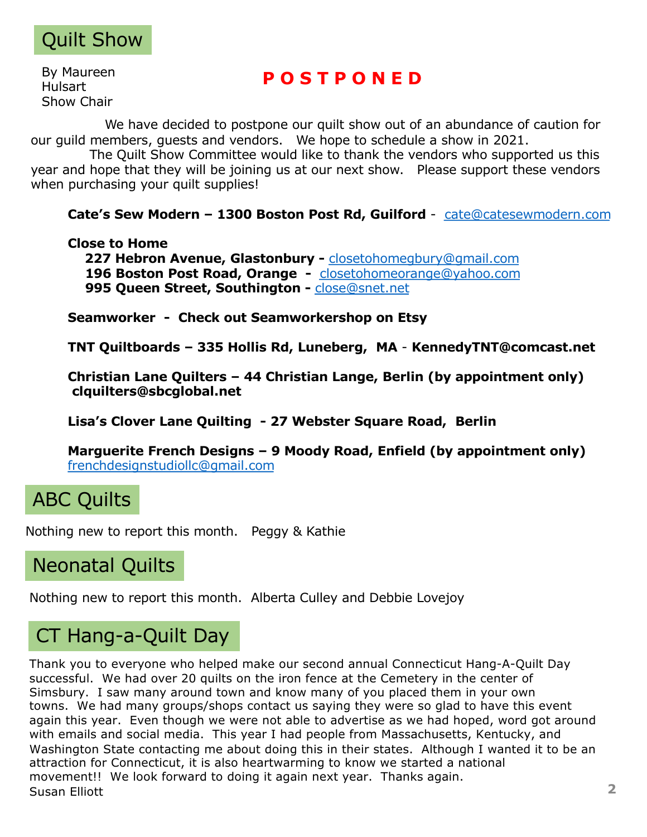

By Maureen Hulsart Show Chair

#### **P O S T P O N E D**

We have decided to postpone our quilt show out of an abundance of caution for our guild members, guests and vendors. We hope to schedule a show in 2021.

The Quilt Show Committee would like to thank the vendors who supported us this year and hope that they will be joining us at our next show. Please support these vendors when purchasing your quilt supplies!

**Cate's Sew Modern – 1300 Boston Post Rd, Guilford** - [cate@catesewmodern.com](http://catesewmodern.com)

#### **Close to Home**

**227 Hebron Avenue, Glastonbury -** [closetohomegbury@gmail.com](http://gmail.com) **196 Boston Post Road, Orange -** [closetohomeorange@yahoo.com](http://yahoo.com) **995 Queen Street, Southington -** [close@snet.ne](http://snet.net)t

**Seamworker - Check out Seamworkershop on Etsy**

**TNT Quiltboards – 335 Hollis Rd, Luneberg, MA** - **KennedyTNT@comcast.net**

**Christian Lane Quilters – 44 Christian Lange, Berlin (by appointment only) clquilters@sbcglobal.net**

**Lisa's Clover Lane Quilting - 27 Webster Square Road, Berlin**

**Marguerite French Designs – 9 Moody Road, Enfield (by appointment only)** [frenchdesignstudiollc@gmail.com](http://gmail.com)

# ABC Quilts

Nothing new to report this month. Peggy & Kathie

### Neonatal Quilts

Nothing new to report this month. Alberta Culley and Debbie Lovejoy

# CT Hang-a-Quilt Day

Thank you to everyone who helped make our second annual Connecticut Hang-A-Quilt Day successful. We had over 20 quilts on the iron fence at the Cemetery in the center of Simsbury. I saw many around town and know many of you placed them in your own towns. We had many groups/shops contact us saying they were so glad to have this event again this year. Even though we were not able to advertise as we had hoped, word got around with emails and social media. This year I had people from Massachusetts, Kentucky, and Washington State contacting me about doing this in their states. Although I wanted it to be an attraction for Connecticut, it is also heartwarming to know we started a national movement!! We look forward to doing it again next year. Thanks again. Susan Elliott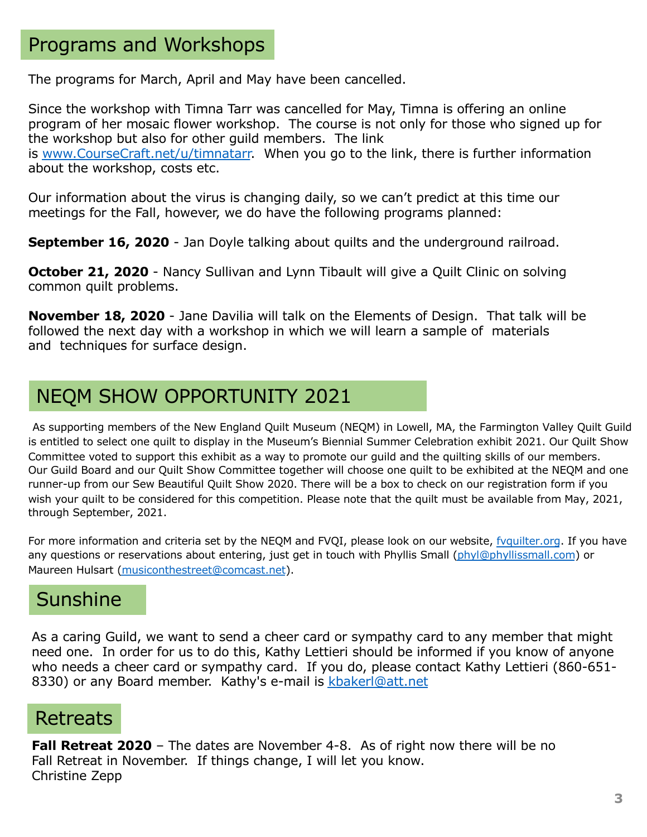## Programs and Workshops

The programs for March, April and May have been cancelled.

Since the workshop with Timna Tarr was cancelled for May, Timna is offering an online program of her mosaic flower workshop. The course is not only for those who signed up for the workshop but also for other guild members. The link is [www.CourseCraft.net/u/timnatar](https://eur04.safelinks.protection.outlook.com/%3Furl=http%253A%252F%252Fwww.coursecraft.net%252Fu%252Ftimnatarr&data=02%257C01%257C%257C69acf772a3f84a1041f108d7dd95ba45%257C84df9e7fe9f640afb435aaaaaaaaaaaa%257C1%257C0%257C637221507446079245&sdata=MCPlk%252Fg%252B2dbxoxeI4GD7TsnJ8XdupkGIEJTVcI78bKk%253D&reserved=0)r. When you go to the link, there is further information about the workshop, costs etc.

Our information about the virus is changing daily, so we can't predict at this time our meetings for the Fall, however, we do have the following programs planned:

**September 16, 2020** - Jan Doyle talking about quilts and the underground railroad.

**October 21, 2020** - Nancy Sullivan and Lynn Tibault will give a Quilt Clinic on solving common quilt problems.

**November 18, 2020** - Jane Davilia will talk on the Elements of Design. That talk will be followed the next day with a workshop in which we will learn a sample of materials and techniques for surface design.

# NEQM SHOW OPPORTUNITY 2021

As supporting members of the New England Quilt Museum (NEQM) in Lowell, MA, the Farmington Valley Quilt Guild is entitled to select one quilt to display in the Museum's Biennial Summer Celebration exhibit 2021. Our Quilt Show Committee voted to support this exhibit as a way to promote our guild and the quilting skills of our members. Our Guild Board and our Quilt Show Committee together will choose one quilt to be exhibited at the NEQM and one runner-up from our Sew Beautiful Quilt Show 2020. There will be a box to check on our registration form if you wish your quilt to be considered for this competition. Please note that the quilt must be available from May, 2021, through September, 2021.

For more information and criteria set by the NEQM and FVQI, please look on our website, [fvquilter.or](http://fvquilter.org/)g. If you have any questions or reservations about entering, just get in touch with Phyllis Smal[l \(phyl@phyllissmall.com](http://phyllissmall.com)) or Maureen Hulsart [\(musiconthestreet@comcast.ne](http://comcast.net)t).

# **Sunshine**

As a caring Guild, we want to send a cheer card or sympathy card to any member that might need one. In order for us to do this, Kathy Lettieri should be informed if you know of anyone who needs a cheer card or sympathy card. If you do, please contact Kathy Lettieri (860-651- 8330) or any Board member. Kathy's e-mail is [kbakerl@att.ne](http://att.net)t

## **Retreats**

**Fall Retreat 2020** – The dates are November 4-8. As of right now there will be no Fall Retreat in November. If things change, I will let you know. Christine Zepp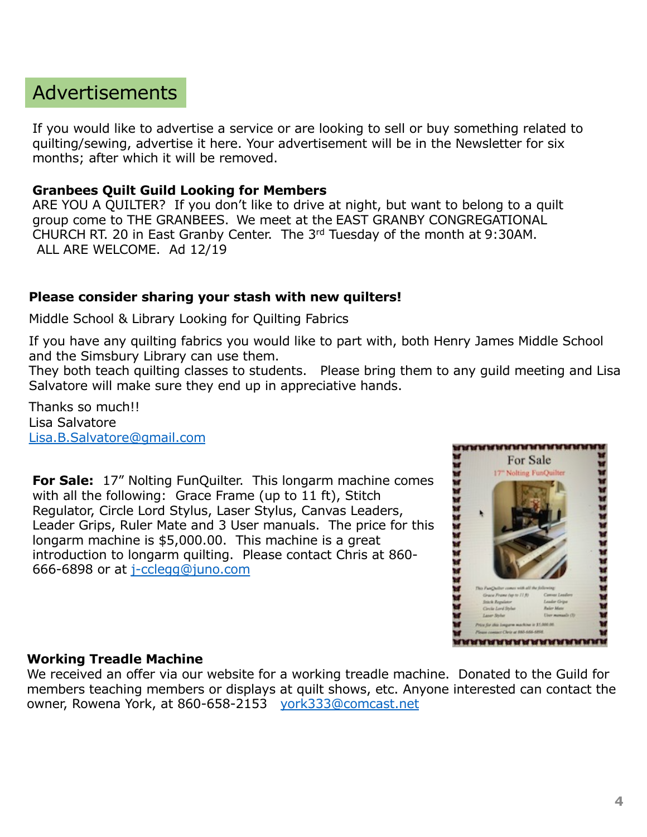# Advertisements

If you would like to advertise a service or are looking to sell or buy something related to quilting/sewing, advertise it here. Your advertisement will be in the Newsletter for six months; after which it will be removed.

#### **Granbees Quilt Guild Looking for Members**

ARE YOU A QUILTER? If you don't like to drive at night, but want to belong to a quilt group come to THE GRANBEES. We meet at the EAST GRANBY CONGREGATIONAL CHURCH RT. 20 in East Granby Center. The 3rd Tuesday of the month at 9:30AM. ALL ARE WELCOME. Ad 12/19

#### **Please consider sharing your stash with new quilters!**

Middle School & Library Looking for Quilting Fabrics

If you have any quilting fabrics you would like to part with, both Henry James Middle School and the Simsbury Library can use them.

They both teach quilting classes to students. Please bring them to any guild meeting and Lisa Salvatore will make sure they end up in appreciative hands.

Thanks so much!! Lisa Salvatore [Lisa.B.Salvatore@gmail.com](http://gmail.com)

**For Sale:** 17" Nolting FunQuilter. This longarm machine comes with all the following: Grace Frame (up to 11 ft), Stitch Regulator, Circle Lord Stylus, Laser Stylus, Canvas Leaders, Leader Grips, Ruler Mate and 3 User manuals. The price for this longarm machine is \$5,000.00. This machine is a great introduction to longarm quilting. Please contact Chris at 860- 666-6898 or at [j-cclegg@juno.com](http://juno.com)



#### **Working Treadle Machine**

We received an offer via our website for a working treadle machine. Donated to the Guild for members teaching members or displays at quilt shows, etc. Anyone interested can contact the owner, Rowena York, at 860-658-2153 [york333@comcast.ne](http://comcast.net)t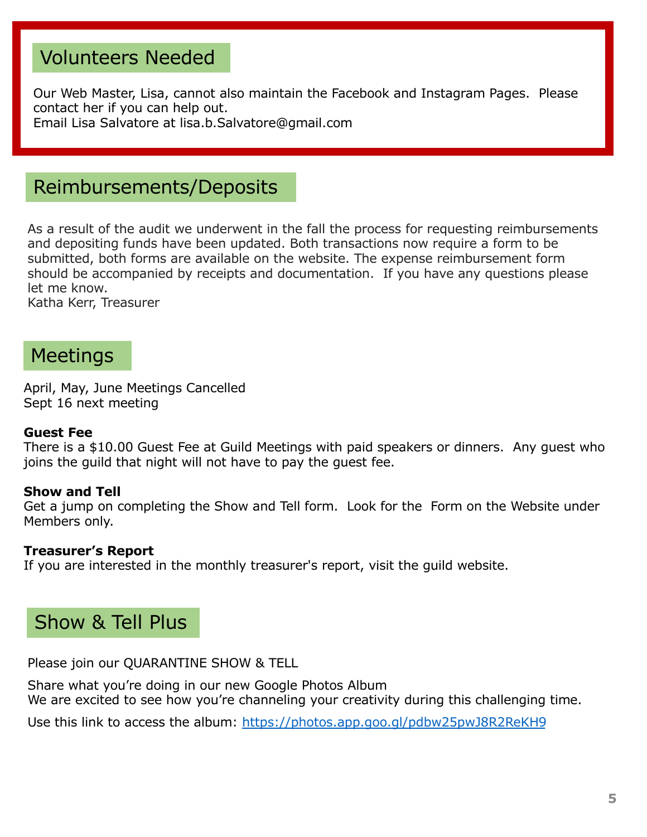# Volunteers Needed

Our Web Master, Lisa, cannot also maintain the Facebook and Instagram Pages. Please contact her if you can help out. Email Lisa Salvatore at lisa.b.Salvatore@gmail.com

## Reimbursements/Deposits

As a result of the audit we underwent in the fall the process for requesting reimbursements and depositing funds have been updated. Both transactions now require a form to be submitted, both forms are available on the website. The expense reimbursement form should be accompanied by receipts and documentation. If you have any questions please let me know.

Katha Kerr, Treasurer

### Meetings

April, May, June Meetings Cancelled Sept 16 next meeting

#### **Guest Fee**

There is a \$10.00 Guest Fee at Guild Meetings with paid speakers or dinners. Any guest who joins the guild that night will not have to pay the guest fee.

#### **Show and Tell**

Get a jump on completing the Show and Tell form. Look for the Form on the Website under Members only.

#### **Treasurer's Report**

If you are interested in the monthly treasurer's report, visit the guild website.

## Show & Tell Plus

Please join our QUARANTINE SHOW & TELL

Share what you're doing in our new Google Photos Album We are excited to see how you're channeling your creativity during this challenging time.

Use this link to access the album: [https://photos.app.goo.gl/pdbw25pwJ8R2ReKH](https://photos.app.goo.gl/pdbw25pwJ8R2ReKH9)9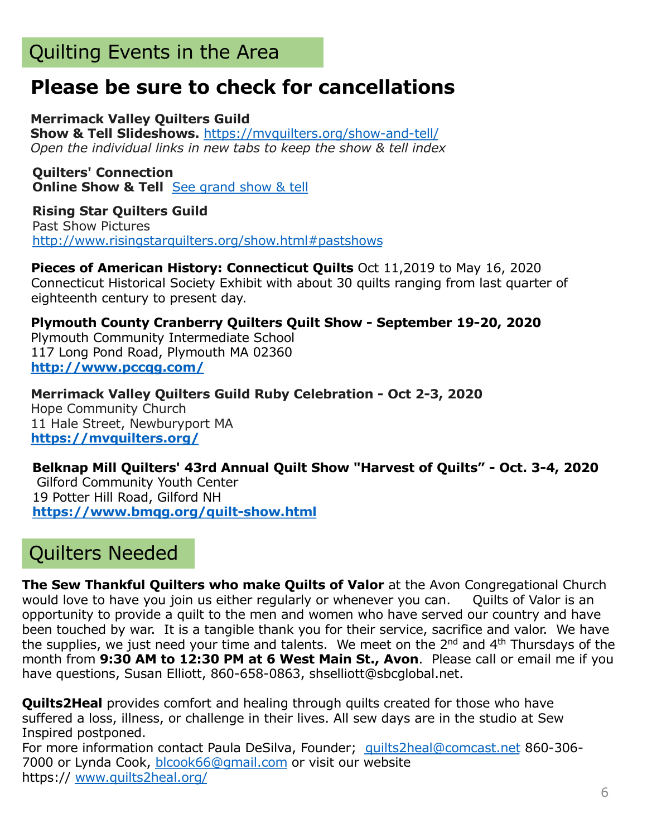# Quilting Events in the Area

# **Please be sure to check for cancellations**

**Merrimack Valley Quilters Guild Show & Tell Slideshows.** [https://mvquilters.org/show-and-tel](https://sewmanyshows.us19.list-manage.com/track/click%3Fu=45e35880b67872826e6bfbfc2&id=96335e807d&e=781fb09e8a)l/ *Open the individual links in new tabs to keep the show & tell index*

**Quilters' Connection Online Show & Tell** [See grand show & te](https://sewmanyshows.us19.list-manage.com/track/click%3Fu=45e35880b67872826e6bfbfc2&id=61b1f1a5b1&e=781fb09e8a)ll

**Rising Star Quilters Guild** Past Show Pictures [http://www.risingstarquilters.org/show.html#pastshow](https://sewmanyshows.us19.list-manage.com/track/click%3Fu=45e35880b67872826e6bfbfc2&id=3eca237315&e=781fb09e8a)s

**Pieces of American History: Connecticut Quilts** Oct 11,2019 to May 16, 2020 Connecticut Historical Society Exhibit with about 30 quilts ranging from last quarter of eighteenth century to present day.

**Plymouth County Cranberry Quilters Quilt Show - September 19-20, 2020** Plymouth Community Intermediate School 117 Long Pond Road, Plymouth MA 02360 **[http://www.pccqg.com](https://sewmanyshows.us19.list-manage.com/track/click%3Fu=45e35880b67872826e6bfbfc2&id=fd148e4951&e=781fb09e8a)/**

**Merrimack Valley Quilters Guild Ruby Celebration - Oct 2-3, 2020** Hope Community Church 11 Hale Street, Newburyport MA **[https://mvquilters.org](https://sewmanyshows.us19.list-manage.com/track/click%3Fu=45e35880b67872826e6bfbfc2&id=b5ce2cd7b5&e=781fb09e8a)/**

**Belknap Mill Quilters' 43rd Annual Quilt Show "Harvest of Quilts" - Oct. 3-4, 2020** Gilford Community Youth Center 19 Potter Hill Road, Gilford NH **[https://www.bmqg.org/quilt-show.htm](https://sewmanyshows.us19.list-manage.com/track/click%3Fu=45e35880b67872826e6bfbfc2&id=e79698b2dc&e=781fb09e8a)l**

# Quilters Needed

**The Sew Thankful Quilters who make Quilts of Valor** at the Avon Congregational Church would love to have you join us either regularly or whenever you can. Quilts of Valor is an opportunity to provide a quilt to the men and women who have served our country and have been touched by war. It is a tangible thank you for their service, sacrifice and valor. We have the supplies, we just need your time and talents. We meet on the  $2^{nd}$  and  $4^{th}$  Thursdays of the month from **9:30 AM to 12:30 PM at 6 West Main St., Avon**. Please call or email me if you have questions, Susan Elliott, 860-658-0863, shselliott@sbcglobal.net.

**Quilts2Heal** provides comfort and healing through quilts created for those who have suffered a loss, illness, or challenge in their lives. All sew days are in the studio at Sew Inspired postponed.

For more information contact Paula DeSilva, Founder; [quilts2heal@comcast.ne](http://comcast.net)t 860-306-7000 or Lynda Cook, [blcook66@gmail.com](http://gmail.com) or visit our website https:// [www.quilts2heal.org](http://www.quilts2heal.org/)/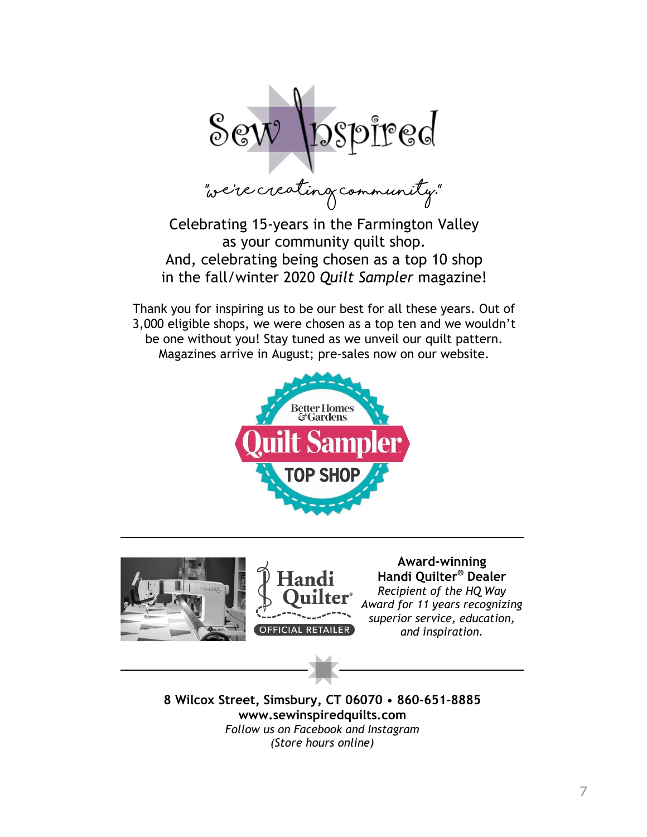$\text{Sew}$  pspired

Celebrating 15-years in the Farmington Valley as your community quilt shop. And, celebrating being chosen as a top 10 shop in the fall/winter 2020 *Quilt Sampler* magazine!

Thank you for inspiring us to be our best for all these years. Out of 3,000 eligible shops, we were chosen as a top ten and we wouldn't be one without you! Stay tuned as we unveil our quilt pattern. Magazines arrive in August; pre-sales now on our website.







**AZard-Zinning Handi Ouilter<sup>®</sup> Dealer** *Recipient of the HQ Wa\*  Award for 11 years recognizing *superior service, education, and inspiration.* 

**8 Wilco[ SWreeW, SimsbXr\, CT 06070** • **860-651-8885 ZZZ.seZinspiredqXilWs.com** *Follow us on Facebook and Instagram (Store hours online)*